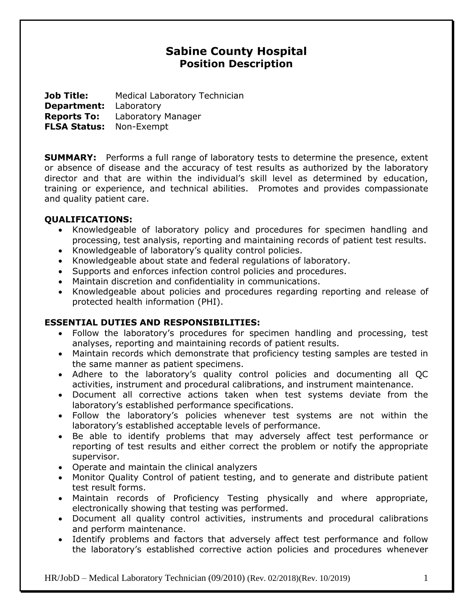# **Sabine County Hospital Position Description**

**Job Title:** Medical Laboratory Technician **Department:** Laboratory **Reports To:** Laboratory Manager **FLSA Status:** Non-Exempt

**SUMMARY:** Performs a full range of laboratory tests to determine the presence, extent or absence of disease and the accuracy of test results as authorized by the laboratory director and that are within the individual's skill level as determined by education, training or experience, and technical abilities. Promotes and provides compassionate and quality patient care.

### **QUALIFICATIONS:**

- Knowledgeable of laboratory policy and procedures for specimen handling and processing, test analysis, reporting and maintaining records of patient test results.
- Knowledgeable of laboratory's quality control policies.
- Knowledgeable about state and federal regulations of laboratory.
- Supports and enforces infection control policies and procedures.
- Maintain discretion and confidentiality in communications.
- Knowledgeable about policies and procedures regarding reporting and release of protected health information (PHI).

## **ESSENTIAL DUTIES AND RESPONSIBILITIES:**

- Follow the laboratory's procedures for specimen handling and processing, test analyses, reporting and maintaining records of patient results.
- Maintain records which demonstrate that proficiency testing samples are tested in the same manner as patient specimens.
- Adhere to the laboratory's quality control policies and documenting all QC activities, instrument and procedural calibrations, and instrument maintenance.
- Document all corrective actions taken when test systems deviate from the laboratory's established performance specifications.
- Follow the laboratory's policies whenever test systems are not within the laboratory's established acceptable levels of performance.
- Be able to identify problems that may adversely affect test performance or reporting of test results and either correct the problem or notify the appropriate supervisor.
- Operate and maintain the clinical analyzers
- Monitor Quality Control of patient testing, and to generate and distribute patient test result forms.
- Maintain records of Proficiency Testing physically and where appropriate, electronically showing that testing was performed.
- Document all quality control activities, instruments and procedural calibrations and perform maintenance.
- Identify problems and factors that adversely affect test performance and follow the laboratory's established corrective action policies and procedures whenever

HR/JobD – Medical Laboratory Technician (09/2010) (Rev. 02/2018)(Rev. 10/2019) 1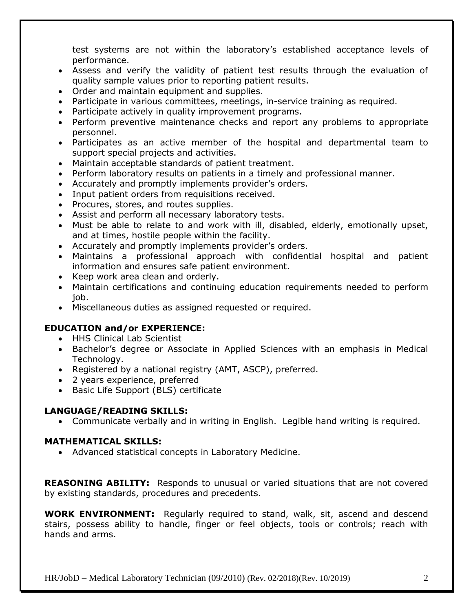test systems are not within the laboratory's established acceptance levels of performance.

- Assess and verify the validity of patient test results through the evaluation of quality sample values prior to reporting patient results.
- Order and maintain equipment and supplies.
- Participate in various committees, meetings, in-service training as required.
- Participate actively in quality improvement programs.
- Perform preventive maintenance checks and report any problems to appropriate personnel.
- Participates as an active member of the hospital and departmental team to support special projects and activities.
- Maintain acceptable standards of patient treatment.
- Perform laboratory results on patients in a timely and professional manner.
- Accurately and promptly implements provider's orders.
- Input patient orders from requisitions received.
- Procures, stores, and routes supplies.
- Assist and perform all necessary laboratory tests.
- Must be able to relate to and work with ill, disabled, elderly, emotionally upset, and at times, hostile people within the facility.
- Accurately and promptly implements provider's orders.
- Maintains a professional approach with confidential hospital and patient information and ensures safe patient environment.
- Keep work area clean and orderly.
- Maintain certifications and continuing education requirements needed to perform job.
- Miscellaneous duties as assigned requested or required.

## **EDUCATION and/or EXPERIENCE:**

- HHS Clinical Lab Scientist
- Bachelor's degree or Associate in Applied Sciences with an emphasis in Medical Technology.
- Registered by a national registry (AMT, ASCP), preferred.
- 2 years experience, preferred
- Basic Life Support (BLS) certificate

## **LANGUAGE/READING SKILLS:**

Communicate verbally and in writing in English. Legible hand writing is required.

## **MATHEMATICAL SKILLS:**

• Advanced statistical concepts in Laboratory Medicine.

**REASONING ABILITY:** Responds to unusual or varied situations that are not covered by existing standards, procedures and precedents.

**WORK ENVIRONMENT:** Regularly required to stand, walk, sit, ascend and descend stairs, possess ability to handle, finger or feel objects, tools or controls; reach with hands and arms.